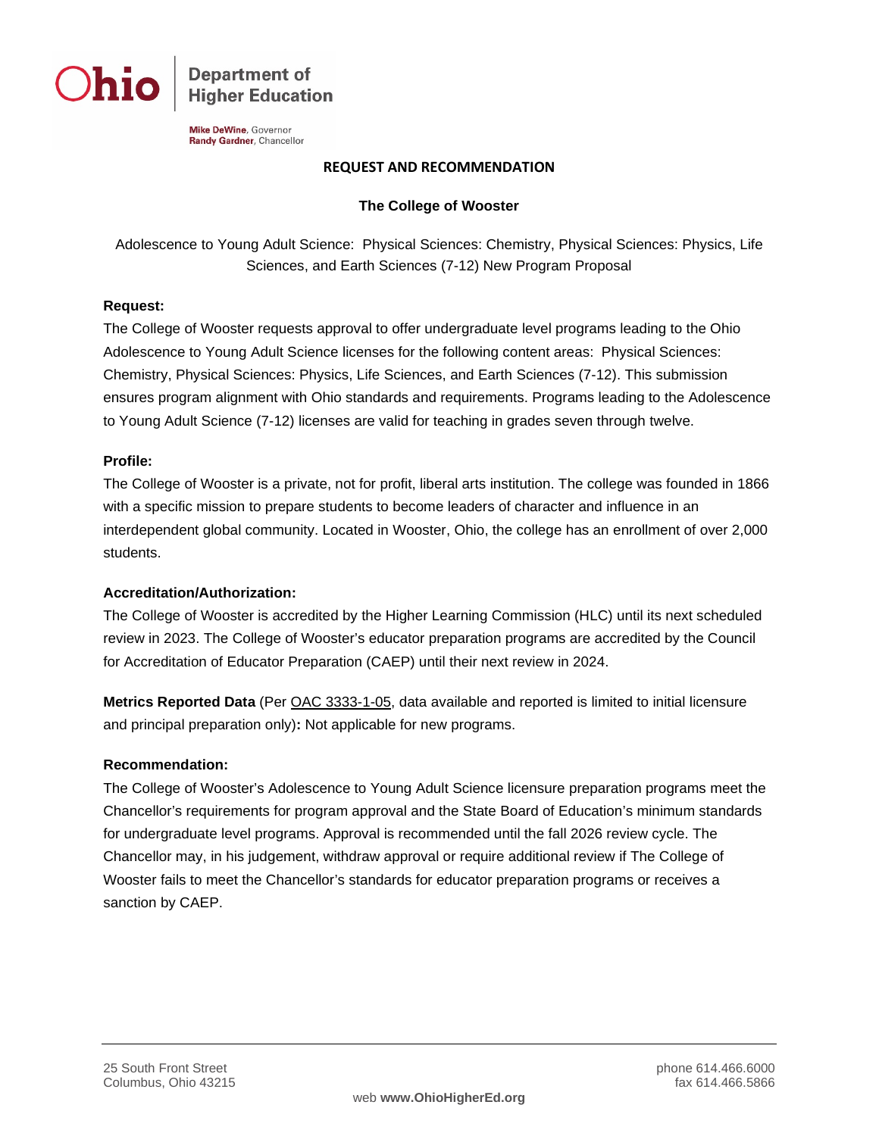

**Department of Higher Education** 

Mike DeWine, Governor Randy Gardner, Chancellor

### **REQUEST AND RECOMMENDATION**

## **The College of Wooster**

Adolescence to Young Adult Science: Physical Sciences: Chemistry, Physical Sciences: Physics, Life Sciences, and Earth Sciences (7-12) New Program Proposal

### **Request:**

The College of Wooster requests approval to offer undergraduate level programs leading to the Ohio Adolescence to Young Adult Science licenses for the following content areas: Physical Sciences: Chemistry, Physical Sciences: Physics, Life Sciences, and Earth Sciences (7-12). This submission ensures program alignment with Ohio standards and requirements. Programs leading to the Adolescence to Young Adult Science (7-12) licenses are valid for teaching in grades seven through twelve.

### **Profile:**

The College of Wooster is a private, not for profit, liberal arts institution. The college was founded in 1866 with a specific mission to prepare students to become leaders of character and influence in an interdependent global community. Located in Wooster, Ohio, the college has an enrollment of over 2,000 students.

#### **Accreditation/Authorization:**

The College of Wooster is accredited by the Higher Learning Commission (HLC) until its next scheduled review in 2023. The College of Wooster's educator preparation programs are accredited by the Council for Accreditation of Educator Preparation (CAEP) until their next review in 2024.

**Metrics Reported Data** (Per [OAC 3333-1-05,](http://codes.ohio.gov/oac/3333-1-05) data available and reported is limited to initial licensure and principal preparation only)**:** Not applicable for new programs.

# **Recommendation:**

The College of Wooster's Adolescence to Young Adult Science licensure preparation programs meet the Chancellor's requirements for program approval and the State Board of Education's minimum standards for undergraduate level programs. Approval is recommended until the fall 2026 review cycle. The Chancellor may, in his judgement, withdraw approval or require additional review if The College of Wooster fails to meet the Chancellor's standards for educator preparation programs or receives a sanction by CAEP.